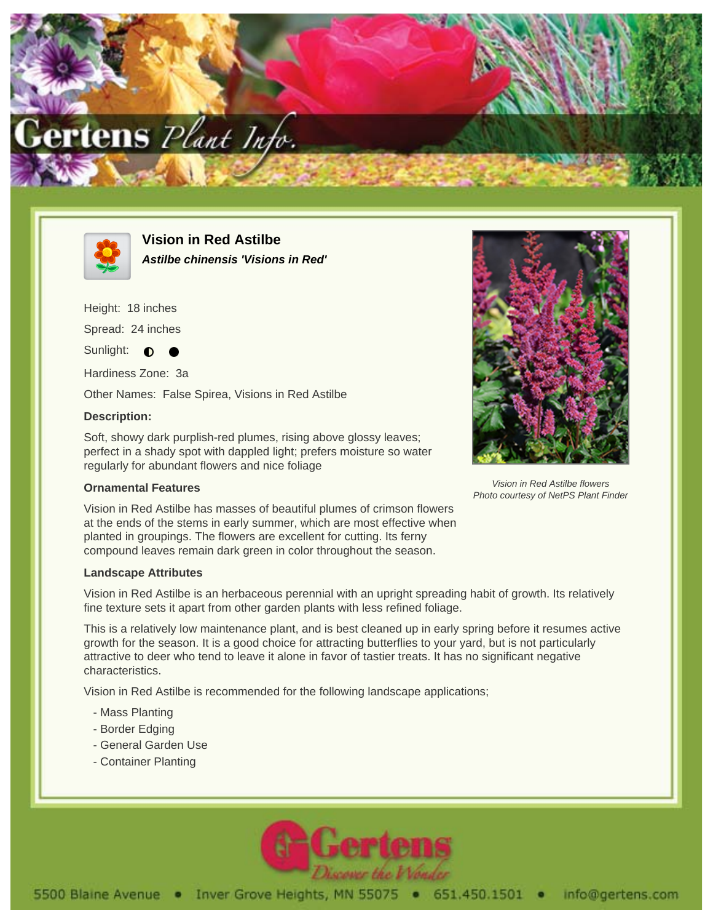



**Vision in Red Astilbe Astilbe chinensis 'Visions in Red'**

Height: 18 inches

Spread: 24 inches

Sunlight:  $\bigcirc$ 

Hardiness Zone: 3a

Other Names: False Spirea, Visions in Red Astilbe

## **Description:**

Soft, showy dark purplish-red plumes, rising above glossy leaves; perfect in a shady spot with dappled light; prefers moisture so water regularly for abundant flowers and nice foliage

## **Ornamental Features**

Vision in Red Astilbe has masses of beautiful plumes of crimson flowers at the ends of the stems in early summer, which are most effective when planted in groupings. The flowers are excellent for cutting. Its ferny compound leaves remain dark green in color throughout the season.

## **Landscape Attributes**

Vision in Red Astilbe is an herbaceous perennial with an upright spreading habit of growth. Its relatively fine texture sets it apart from other garden plants with less refined foliage.

This is a relatively low maintenance plant, and is best cleaned up in early spring before it resumes active growth for the season. It is a good choice for attracting butterflies to your yard, but is not particularly attractive to deer who tend to leave it alone in favor of tastier treats. It has no significant negative characteristics.

Vision in Red Astilbe is recommended for the following landscape applications;

- Mass Planting
- Border Edging
- General Garden Use
- Container Planting





Vision in Red Astilbe flowers Photo courtesy of NetPS Plant Finder